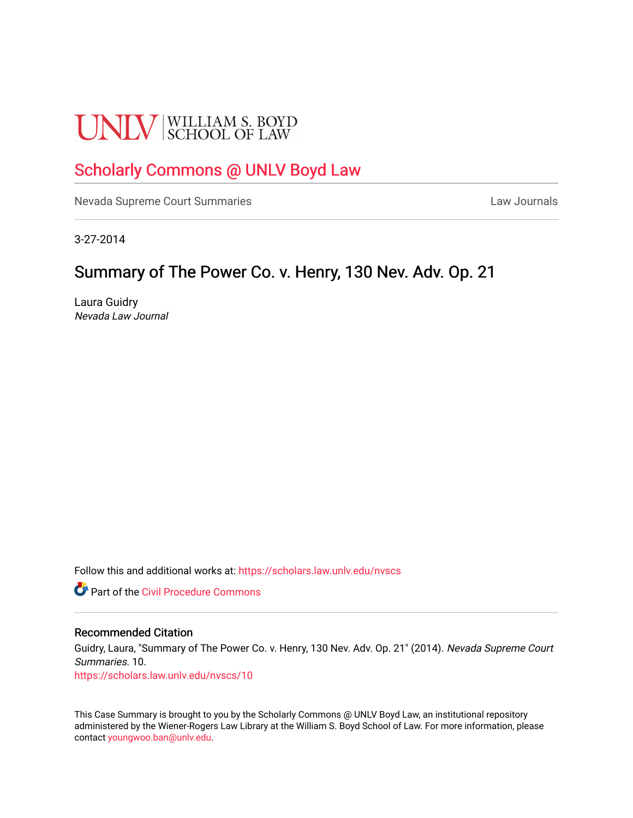# **UNLV** SCHOOL OF LAW

# [Scholarly Commons @ UNLV Boyd Law](https://scholars.law.unlv.edu/)

[Nevada Supreme Court Summaries](https://scholars.law.unlv.edu/nvscs) **Law Journals** Law Journals

3-27-2014

# Summary of The Power Co. v. Henry, 130 Nev. Adv. Op. 21

Laura Guidry Nevada Law Journal

Follow this and additional works at: [https://scholars.law.unlv.edu/nvscs](https://scholars.law.unlv.edu/nvscs?utm_source=scholars.law.unlv.edu%2Fnvscs%2F10&utm_medium=PDF&utm_campaign=PDFCoverPages)

**C** Part of the Civil Procedure Commons

#### Recommended Citation

Guidry, Laura, "Summary of The Power Co. v. Henry, 130 Nev. Adv. Op. 21" (2014). Nevada Supreme Court Summaries. 10.

[https://scholars.law.unlv.edu/nvscs/10](https://scholars.law.unlv.edu/nvscs/10?utm_source=scholars.law.unlv.edu%2Fnvscs%2F10&utm_medium=PDF&utm_campaign=PDFCoverPages) 

This Case Summary is brought to you by the Scholarly Commons @ UNLV Boyd Law, an institutional repository administered by the Wiener-Rogers Law Library at the William S. Boyd School of Law. For more information, please contact [youngwoo.ban@unlv.edu](mailto:youngwoo.ban@unlv.edu).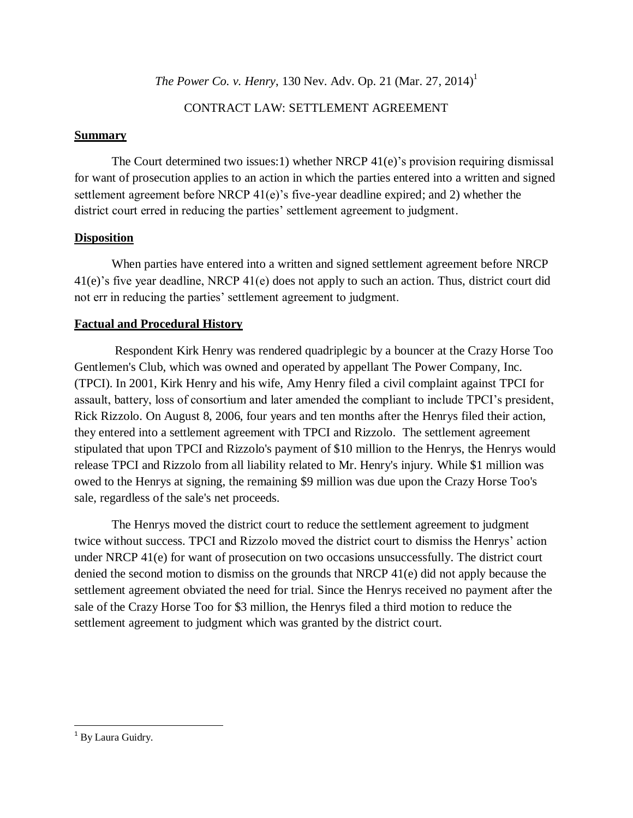*The Power Co. v. Henry*, 130 Nev. Adv. Op. 21 (Mar. 27, 2014)<sup>1</sup>

#### CONTRACT LAW: SETTLEMENT AGREEMENT

#### **Summary**

The Court determined two issues:1) whether NRCP 41(e)'s provision requiring dismissal for want of prosecution applies to an action in which the parties entered into a written and signed settlement agreement before NRCP 41(e)'s five-year deadline expired; and 2) whether the district court erred in reducing the parties' settlement agreement to judgment.

## **Disposition**

When parties have entered into a written and signed settlement agreement before NRCP 41(e)'s five year deadline, NRCP 41(e) does not apply to such an action. Thus, district court did not err in reducing the parties' settlement agreement to judgment.

## **Factual and Procedural History**

Respondent Kirk Henry was rendered quadriplegic by a bouncer at the Crazy Horse Too Gentlemen's Club, which was owned and operated by appellant The Power Company, Inc. (TPCI). In 2001, Kirk Henry and his wife, Amy Henry filed a civil complaint against TPCI for assault, battery, loss of consortium and later amended the compliant to include TPCI's president, Rick Rizzolo. On August 8, 2006, four years and ten months after the Henrys filed their action, they entered into a settlement agreement with TPCI and Rizzolo. The settlement agreement stipulated that upon TPCI and Rizzolo's payment of \$10 million to the Henrys, the Henrys would release TPCI and Rizzolo from all liability related to Mr. Henry's injury. While \$1 million was owed to the Henrys at signing, the remaining \$9 million was due upon the Crazy Horse Too's sale, regardless of the sale's net proceeds.

The Henrys moved the district court to reduce the settlement agreement to judgment twice without success. TPCI and Rizzolo moved the district court to dismiss the Henrys' action under NRCP 41(e) for want of prosecution on two occasions unsuccessfully. The district court denied the second motion to dismiss on the grounds that NRCP 41(e) did not apply because the settlement agreement obviated the need for trial. Since the Henrys received no payment after the sale of the Crazy Horse Too for \$3 million, the Henrys filed a third motion to reduce the settlement agreement to judgment which was granted by the district court.

 $\overline{\phantom{a}}$ <sup>1</sup> By Laura Guidry.